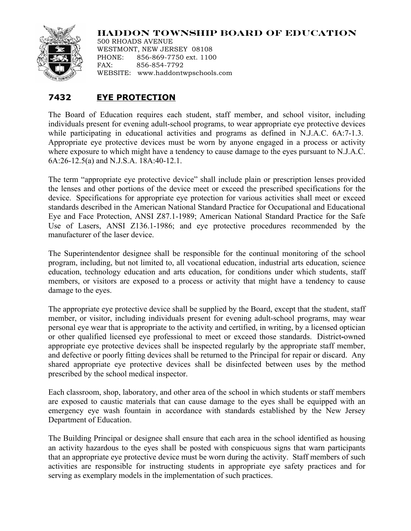## **HADDON TOWNSHIP BOARD OF EDUCATION**



500 RHOADS AVENUE WESTMONT, NEW JERSEY 08108 PHONE: 856-869-7750 ext. 1100 FAX: 856-854-7792 WEBSITE: www.haddontwpschools.com

## **7432 EYE PROTECTION**

The Board of Education requires each student, staff member, and school visitor, including individuals present for evening adult-school programs, to wear appropriate eye protective devices while participating in educational activities and programs as defined in N.J.A.C. 6A:7-1.3. Appropriate eye protective devices must be worn by anyone engaged in a process or activity where exposure to which might have a tendency to cause damage to the eyes pursuant to N.J.A.C. 6A:26-12.5(a) and N.J.S.A. 18A:40-12.1.

The term "appropriate eye protective device" shall include plain or prescription lenses provided the lenses and other portions of the device meet or exceed the prescribed specifications for the device. Specifications for appropriate eye protection for various activities shall meet or exceed standards described in the American National Standard Practice for Occupational and Educational Eye and Face Protection, ANSI Z87.1-1989; American National Standard Practice for the Safe Use of Lasers, ANSI Z136.1-1986; and eye protective procedures recommended by the manufacturer of the laser device.

The Superintendentor designee shall be responsible for the continual monitoring of the school program, including, but not limited to, all vocational education, industrial arts education, science education, technology education and arts education, for conditions under which students, staff members, or visitors are exposed to a process or activity that might have a tendency to cause damage to the eyes.

The appropriate eye protective device shall be supplied by the Board, except that the student, staff member, or visitor, including individuals present for evening adult-school programs, may wear personal eye wear that is appropriate to the activity and certified, in writing, by a licensed optician or other qualified licensed eye professional to meet or exceed those standards. District**-**owned appropriate eye protective devices shall be inspected regularly by the appropriate staff member, and defective or poorly fitting devices shall be returned to the Principal for repair or discard. Any shared appropriate eye protective devices shall be disinfected between uses by the method prescribed by the school medical inspector.

Each classroom, shop, laboratory, and other area of the school in which students or staff members are exposed to caustic materials that can cause damage to the eyes shall be equipped with an emergency eye wash fountain in accordance with standards established by the New Jersey Department of Education.

The Building Principal or designee shall ensure that each area in the school identified as housing an activity hazardous to the eyes shall be posted with conspicuous signs that warn participants that an appropriate eye protective device must be worn during the activity. Staff members of such activities are responsible for instructing students in appropriate eye safety practices and for serving as exemplary models in the implementation of such practices.